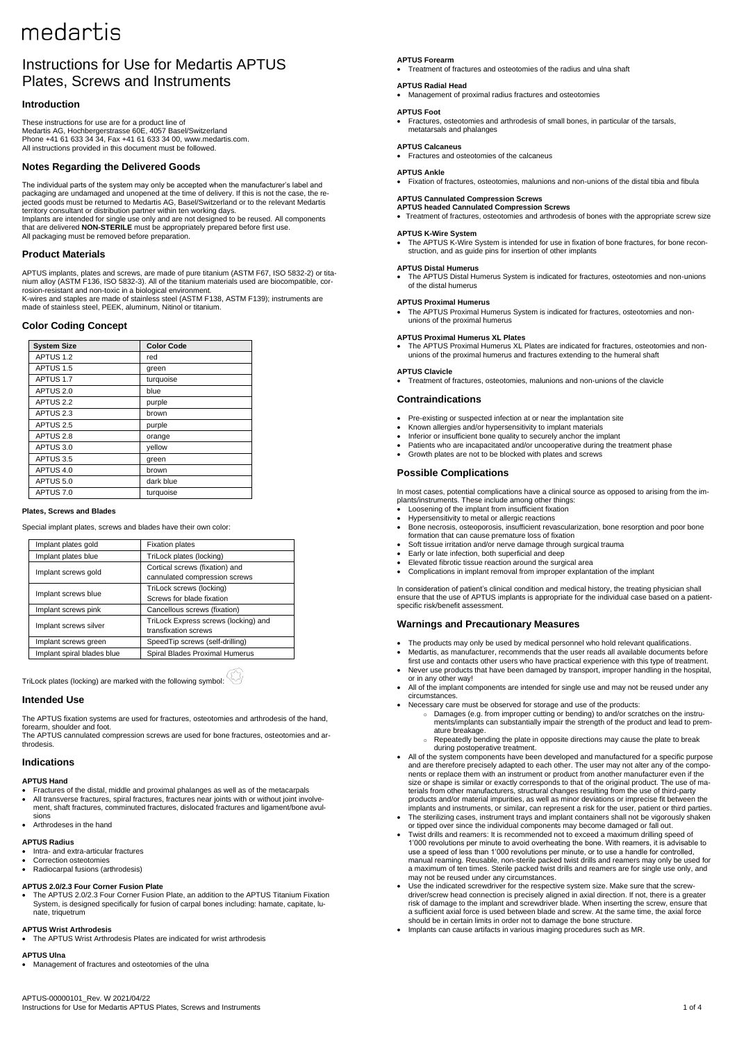# Instructions for Use for Medartis APTUS Plates, Screws and Instruments

# **Introduction**

These instructions for use are for a product line of Medartis AG, Hochbergerstrasse 60E, 4057 Basel/Switzerland Phone +41 61 633 34 34, Fax +41 61 633 34 00[, www.medartis.com.](http://www.medartis.com/) All instructions provided in this document must be followed.

# **Notes Regarding the Delivered Goods**

The individual parts of the system may only be accepted when the manufacturer's label and packaging are undamaged and unopened at the time of delivery. If this is not the case, the re-jected goods must be returned to Medartis AG, Basel/Switzerland or to the relevant Medartis territory consultant or distribution partner within ten working days.<br>Implants are intended for single use only and are not designed to be reused. All components<br>that are delivered **NON-STERILE** must be appropriately prepa

# **Product Materials**

APTUS implants, plates and screws, are made of pure titanium (ASTM F67, ISO 5832-2) or tita-nium alloy (ASTM F136, ISO 5832-3). All of the titanium materials used are biocompatible, corrosion-resistant and non-toxic in a biological environment. K-wires and staples are made of stainless steel (ASTM F138, ASTM F139); instruments are made of stainless steel, PEEK, aluminum, Nitinol or titanium.

# **Color Coding Concept**

| <b>System Size</b>   | <b>Color Code</b> |
|----------------------|-------------------|
| APTUS 1.2            | red               |
| APTUS 1.5            | green             |
| APTUS 1.7            | turquoise         |
| APTUS 2.0            | blue              |
| APTUS <sub>2.2</sub> | purple            |
| APTUS <sub>2.3</sub> | brown             |
| APTUS 2.5            | purple            |
| APTUS <sub>2.8</sub> | orange            |
| APTUS 3.0            | yellow            |
| APTUS 3.5            | green             |
| APTUS 4.0            | brown             |
| APTUS 5.0            | dark blue         |
| APTUS 7.0            | turquoise         |
|                      |                   |

# **Plates, Screws and Blades**

Special implant plates, screws and blades have their own color:

| Implant plates gold        | <b>Fixation plates</b>                                          |
|----------------------------|-----------------------------------------------------------------|
| Implant plates blue        | TriLock plates (locking)                                        |
| Implant screws gold        | Cortical screws (fixation) and<br>cannulated compression screws |
| Implant screws blue        | TriLock screws (locking)<br>Screws for blade fixation           |
| Implant screws pink        | Cancellous screws (fixation)                                    |
| Implant screws silver      | TriLock Express screws (locking) and<br>transfixation screws    |
| Implant screws green       | SpeedTip screws (self-drilling)                                 |
| Implant spiral blades blue | Spiral Blades Proximal Humerus                                  |

TriLock plates (locking) are marked with the following symbol:

# **Intended Use**

The APTUS fixation systems are used for fractures, osteotomies and arthrodesis of the hand, forearm, shoulder and foot.

The APTUS cannulated compression screws are used for bone fractures, osteotomies and arthrodesis.

# **Indications**

# **APTUS Hand**

• Fractures of the distal, middle and proximal phalanges as well as of the metacarpals All transverse fractures, spiral fractures, fractures near joints with or without joint involvement, shaft fractures, comminuted fractures, dislocated fractures and ligament/bone avulsions

# • Arthrodeses in the hand

# **APTUS Radius**

- Intra- and extra-articular fractures Correction osteotomies
- Radiocarpal fusions (arthrodesis)

# **APTUS 2.0/2.3 Four Corner Fusion Plate**

• The APTUS 2.0/2.3 Four Corner Fusion Plate, an addition to the APTUS Titanium Fixation System, is designed specifically for fusion of carpal bones including: hamate, capitate, lunate, triquetrum

# **APTUS Wrist Arthrodesis**

• The APTUS Wrist Arthrodesis Plates are indicated for wrist arthrodesis

# **APTUS Ulna**

• Management of fractures and osteotomies of the ulna

## **APTUS Forearm**

• Treatment of fractures and osteotomies of the radius and ulna shaft

# **APTUS Radial Head**

• Management of proximal radius fractures and osteotomies

# **APTUS Foot**

• Fractures, osteotomies and arthrodesis of small bones, in particular of the tarsals, metatarsals and phalanges

### **APTUS Calcaneus**

• Fractures and osteotomies of the calcaneus

### **APTUS Ankle**

• Fixation of fractures, osteotomies, malunions and non-unions of the distal tibia and fibula

# **APTUS Cannulated Compression Screws**

# **APTUS headed Cannulated Compression Screws**

• Treatment of fractures, osteotomies and arthrodesis of bones with the appropriate screw size

## **APTUS K-Wire System**

The APTUS K-Wire System is intended for use in fixation of bone fractures, for bone reconstruction, and as guide pins for insertion of other implants

### **APTUS Distal Humerus**

• The APTUS Distal Humerus System is indicated for fractures, osteotomies and non-unions of the distal humerus

# **APTUS Proximal Humerus**

• The APTUS Proximal Humerus System is indicated for fractures, osteotomies and nonunions of the proximal humerus

### **APTUS Proximal Humerus XL Plates**

• The APTUS Proximal Humerus XL Plates are indicated for fractures, osteotomies and nonunions of the proximal humerus and fractures extending to the humeral shaft

### **APTUS Clavicle**

• Treatment of fractures, osteotomies, malunions and non-unions of the clavicle

# **Contraindications**

- Pre-existing or suspected infection at or near the implantation site
- Known allergies and/or hypersensitivity to implant materials
- Inferior or insufficient bone quality to securely anchor the implant
- Patients who are incapacitated and/or uncooperative during the treatment phase Growth plates are not to be blocked with plates and screws

## **Possible Complications**

In most cases, potential complications have a clinical source as opposed to arising from the implants/instruments. These include among other things:

- Loosening of the implant from insufficient fixation • Hypersensitivity to metal or allergic reactions
- Bone necrosis, osteoporosis, insufficient revascularization, bone resorption and poor bone formation that can cause premature loss of fixation
- Soft tissue irritation and/or nerve damage through surgical trauma
- Early or late infection, both superficial and deep
- Elevated fibrotic tissue reaction around the surgical area
- Complications in implant removal from improper explantation of the implant

In consideration of patient's clinical condition and medical history, the treating physician shall ensure that the use of APTUS implants is appropriate for the individual case based on a patientspecific risk/benefit assessment.

### **Warnings and Precautionary Measures**

- The products may only be used by medical personnel who hold relevant qualifications.
- Medartis, as manufacturer, recommends that the user reads all available documents before first use and contacts other users who have practical experience with this type of treatment.
- Never use products that have been damaged by transport, improper handling in the hospital, or in any other way!
- All of the implant components are intended for single use and may not be reused under any circumstances.
- Necessary care must be observed for storage and use of the products:
	- Damages (e.g. from improper cutting or bending) to and/or scratches on the instru-ments/implants can substantially impair the strength of the product and lead to prem-
	- ature breakage. Repeatedly bending the plate in opposite directions may cause the plate to break
- during postoperative treatment. All of the system components have been developed and manufactured for a specific purpose and are therefore precisely adapted to each other. The user may not alter any of the components or replace them with an instrument or product from another manufacturer even if the size or shape is similar or exactly corresponds to that of the original product. The use of ma-terials from other manufacturers, structural changes resulting from the use of third-party products and/or material impurities, as well as minor deviations or imprecise fit between the implants and instruments, or similar, can represent a risk for the user, patient or third parties.
- The sterilizing cases, instrument trays and implant containers shall not be vigorously shaken or tipped over since the individual components may become damaged or fall out.
- Twist drills and reamers: It is recommended not to exceed a maximum drilling speed of 1'000 revolutions per minute to avoid overheating the bone. With reamers, it is advisable to use a speed of less than 1'000 revolutions per minute, or to use a handle for controlled,<br>manual reaming. Reusable, non-sterile packed twist drills and reamers may only be used for a maximum of ten times. Sterile packed twist drills and reamers are for single use only, and may not be reused under any circumstances.
- Use the indicated screwdriver for the respective system size. Make sure that the screwdriver/screw head connection is precisely aligned in axial direction. If not, there is a greater risk of damage to the implant and screwdriver blade. When inserting the screw, ensure that a sufficient axial force is used between blade and screw. At the same time, the axial force should be in certain limits in order not to damage the bone structure.
- Implants can cause artifacts in various imaging procedures such as MR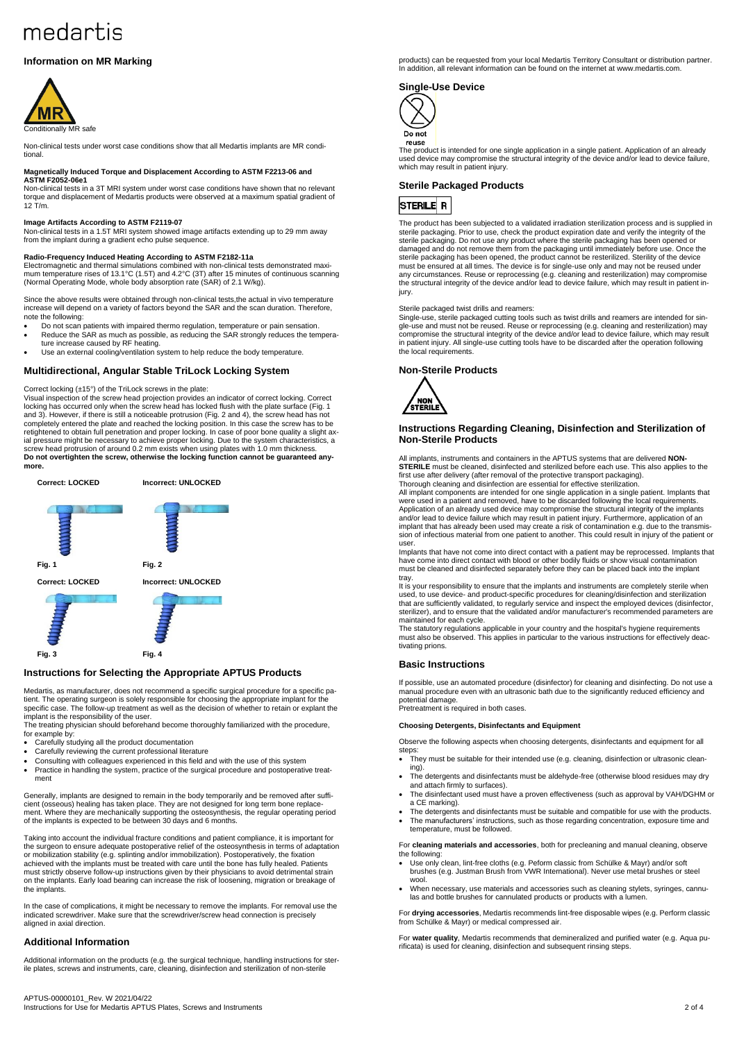# **Information on MR Marking**



Non-clinical tests under worst case conditions show that all Medartis implants are MR conditional.

### **Magnetically Induced Torque and Displacement According to ASTM F2213-06 and ASTM F2052-06e1**

Non-clinical tests in a 3T MRI system under worst case conditions have shown that no relevant torque and displacement of Medartis products were observed at a maximum spatial gradient of 12 T/m.

**Image Artifacts According to ASTM F2119-07**<br>Non-clinical tests in a 1.5T MRI system showed image artifacts extending up to 29 mm away from the implant during a gradient echo pulse sequence.

### **Radio-Frequency Induced Heating According to ASTM F2182-11a**

Electromagnetic and thermal simulations combined with non-clinical tests demonstrated maximum temperature rises of 13.1°C (1.5T) and 4.2°C (3T) after 15 minutes of continuous scanning (Normal Operating Mode, whole body absorption rate (SAR) of 2.1 W/kg).

Since the above results were obtained through non-clinical tests,the actual in vivo temperature increase will depend on a variety of factors beyond the SAR and the scan duration. Therefore, note the following:

- Do not scan patients with impaired thermo regulation, temperature or pain sensation. • Reduce the SAR as much as possible, as reducing the SAR strongly reduces the tempera-ture increase caused by RF heating.
- Use an external cooling/ventilation system to help reduce the body temperature

# **Multidirectional, Angular Stable TriLock Locking System**

### Correct locking (±15°) of the TriLock screws in the plate:

Visual inspection of the screw head projection provides an indicator of correct locking. Correct locking has occurred only when the screw head has locked flush with the plate surface (Fig. 1 and 3). However, if there is still a noticeable protrusion (Fig. 2 and 4), the screw head has not completely entered the plate and reached the locking position. In this case the screw has to be retightened to obtain full penetration and proper locking. In case of poor bone quality a slight ax-<br>ial pressure might be necessary to achieve proper locking. Due to the system characteristics, a<br>screw head protrusion of **more.**



## **Instructions for Selecting the Appropriate APTUS Products**

Medartis, as manufacturer, does not recommend a specific surgical procedure for a specific patient. The operating surgeon is solely responsible for choosing the appropriate implant for the specific case. The follow-up treatment as well as the decision of whether to retain or explant the

implant is the responsibility of the user. The treating physician should beforehand become thoroughly familiarized with the procedure, for example by:

- Carefully studying all the product documentation<br>• Carefully reviewing the current professional literal
- Carefully reviewing the current professional literature
- Consulting with colleagues experienced in this field and with the use of this system Practice in handling the system, practice of the surgical procedure and postoperative treatment

Generally, implants are designed to remain in the body temporarily and be removed after sufficient (osseous) healing has taken place. They are not designed for long term bone replace-ment. Where they are mechanically supporting the osteosynthesis, the regular operating period of the implants is expected to be between 30 days and 6 months.

Taking into account the individual fracture conditions and patient compliance, it is important for<br>the surgeon to ensure adequate postoperative relief of the osteosynthesis in terms of adaptation<br>or mobilization stability achieved with the implants must be treated with care until the bone has fully healed. Patients must strictly observe follow-up instructions given by their physicians to avoid detrimental strain on the implants. Early load bearing can increase the risk of loosening, migration or breakage of the implants.

In the case of complications, it might be necessary to remove the implants. For removal use the indicated screwdriver. Make sure that the screwdriver/screw head connection is precisely aligned in axial direction.

# **Additional Information**

Additional information on the products (e.g. the surgical technique, handling instructions for ster-ile plates, screws and instruments, care, cleaning, disinfection and sterilization of non-sterile

products) can be requested from your local Medartis Territory Consultant or distribution partner. In addition, all relevant information can be found on the internet at www.medartis.com

# **Single-Use Device**



The product is intended for one single application in a single patient. Application of an already used device may compromise the structural integrity of the device and/or lead to device failure, which may result in patient injury.

### **Sterile Packaged Products**

# **STERILE R**

The product has been subjected to a validated irradiation sterilization process and is supplied in sterile packaging. Prior to use, check the product expiration date and verify the integrity of the sterile packaging. Do not use any product where the sterile packaging has been opened or damaged and do not remove them from the packaging until immediately before use. Once the sterile packaging has been opened, the product cannot be resterilized. Sterility of the device<br>must be ensured at all times. The device is for single-use only and may not be reused under<br>any circumstances. Reuse or reproce the structural integrity of the device and/or lead to device failure, which may result in patient injury.

### Sterile packaged twist drills and reamers:

Single-use, sterile packaged cutting tools such as twist drills and reamers are intended for sin-gle-use and must not be reused. Reuse or reprocessing (e.g. cleaning and resterilization) may compromise the structural integrity of the device and/or lead to device failure, which may result in patient injury. All single-use cutting tools have to be discarded after the operation following the local requirements.

### **Non-Sterile Products**



### **Instructions Regarding Cleaning, Disinfection and Sterilization of Non-Sterile Products**

ants, instruments and containers in the APTUS systems that are delivered **NON-STERILE** must be cleaned, disinfected and sterilized before each use. This also applies to the first use after delivery (after removal of the protective transport packaging). Thorough cleaning and disinfection are essential for effective sterilization.

All implant components are intended for one single application in a single patient. Implants that were used in a patient and removed, have to be discarded following the local requirements. Application of an already used device may compromise the structural integrity of the implants and/or lead to device failure which may result in patient injury. Furthermore, application of an implant that has already been used may create a risk of contamination e.g. due to the transmis-sion of infectious material from one patient to another. This could result in injury of the patient or user.

Implants that have not come into direct contact with a patient may be reprocessed. Implants that have come into direct contact with blood or other bodily fluids or show visual contamination must be cleaned and disinfected separately before they can be placed back into the implant tray.

It is your responsibility to ensure that the implants and instruments are completely sterile when used, to use device- and product-specific procedures for cleaning/disinfection and sterilization that are sufficiently validated, to regularly service and inspect the employed devices (disinfector, sterilizer), and to ensure that the validated and/or manufacturer's recommended parameters are maintained for each cycle.

The statutory regulations applicable in your country and the hospital's hygiene requirements must also be observed. This applies in particular to the various instructions for effectively deactivating prions.

### **Basic Instructions**

If possible, use an automated procedure (disinfector) for cleaning and disinfecting. Do not use a manual procedure even with an ultrasonic bath due to the significantly reduced efficiency and manus.<br>notential damage Pretreatment is required in both cases.

### **Choosing Detergents, Disinfectants and Equipment**

Observe the following aspects when choosing detergents, disinfectants and equipment for all steps:

- They must be suitable for their intended use (e.g. cleaning, disinfection or ultrasonic cleaning).
- The detergents and disinfectants must be aldehyde-free (otherwise blood residues may dry and attach firmly to surfaces).
- The disinfectant used must have a proven effectiveness (such as approval by VAH/DGHM or a CE marking).
- The detergents and disinfectants must be suitable and compatible for use with the products. • The manufacturers' instructions, such as those regarding concentration, exposure time and temperature, must be followed.

For **cleaning materials and accessories**, both for precleaning and manual cleaning, observe the following:

- Use only clean, lint-free cloths (e.g. Peform classic from Schülke & Mayr) and/or soft brushes (e.g. Justman Brush from VWR International). Never use metal brushes or steel wool.
- When necessary, use materials and accessories such as cleaning stylets, syringes, cannulas and bottle brushes for cannulated products or products with a lumen.

For **drying accessories**, Medartis recommends lint-free disposable wipes (e.g. Perform classic from Schülke & Mayr) or medical compressed air.

For **water quality**, Medartis recommends that demineralized and purified water (e.g. Aqua purificata) is used for cleaning, disinfection and subsequent rinsing steps.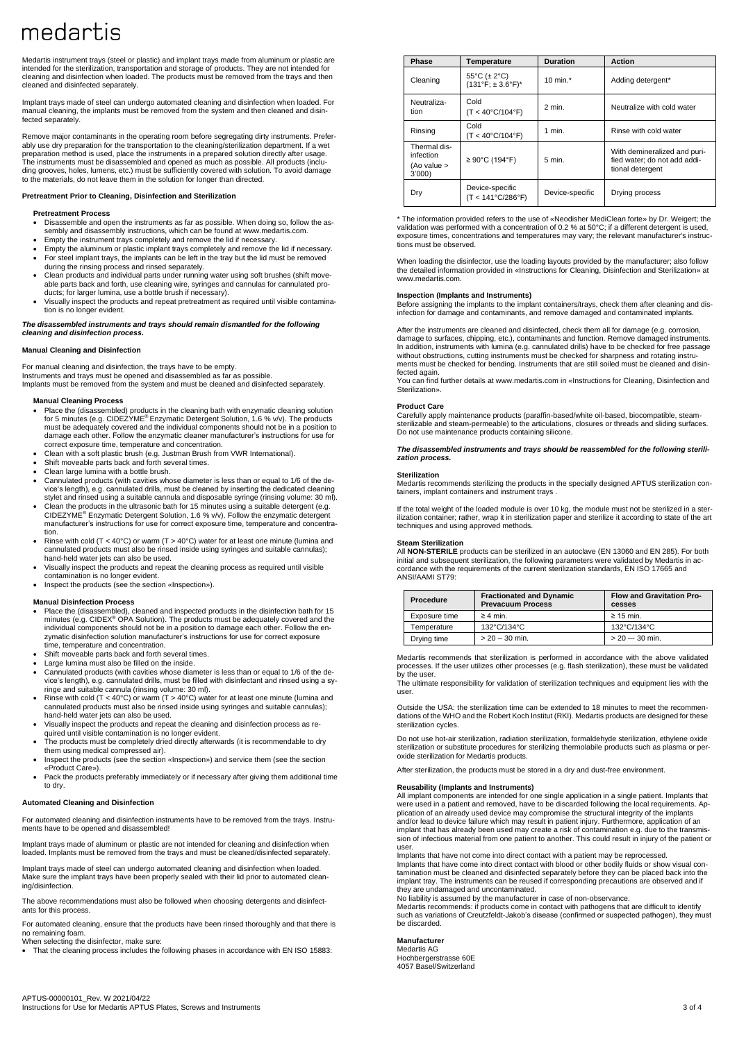Medartis instrument trays (steel or plastic) and implant trays made from aluminum or plastic are intended for the sterilization, transportation and storage of products. They are not intended for cleaning and disinfection when loaded. The products must be removed from the trays and then cleaned and disinfected separately.

Implant trays made of steel can undergo automated cleaning and disinfection when loaded. For manual cleaning, the implants must be removed from the system and then cleaned and disinfected separately.

Remove major contaminants in the operating room before segregating dirty instruments. Preferably use dry preparation for the transportation to the cleaning/sterilization department. If a wet preparation method is used, place the instruments in a prepared solution directly after usage.<br>The instruments must be disassembled and opened as much as possible. All products (inclu-<br>ding grooves, holes, lumens, etc.) mu to the materials, do not leave them in the solution for longer than directed.

**Pretreatment Prior to Cleaning, Disinfection and Sterilization**

# **Pretreatment Process**

- Disassemble and open the instruments as far as possible. When doing so, follow the assembly and disassembly instructions, which can be found at www.medartis.com. • Empty the instrument trays completely and remove the lid if necessary.
- 
- Empty the aluminum or plastic implant trays completely and remove the lid if necessary. For steel implant trays, the implants can be left in the tray but the lid must be removed during the rinsing process and rinsed separately.
- Clean products and individual parts under running water using soft brushes (shift move-able parts back and forth, use cleaning wire, syringes and cannulas for cannulated pro-
- ducts; for larger lumina, use a bottle brush if necessary). • Visually inspect the products and repeat pretreatment as required until visible contamination is no longer evident.

*The disassembled instruments and trays should remain dismantled for the following cleaning and disinfection process.*

### **Manual Cleaning and Disinfection**

For manual cleaning and disinfection, the trays have to be empty. Instruments and trays must be opened and disassembled as far as possible. Implants must be removed from the system and must be cleaned and disinfected separately.

# **Manual Cleaning Process**

- Place the (disassembled) products in the cleaning bath with enzymatic cleaning solution for 5 minutes (e.g. CIDEZYME® Enzymatic Detergent Solution, 1.6 % v/v). The products must be adequately covered and the individual components should not be in a position to damage each other. Follow the enzymatic cleaner manufacturer's instructions for use for correct exposure time, temperature and concentration.
- Clean with a soft plastic brush (e.g. Justman Brush from VWR International).
- Shift moveable parts back and forth several times.
- Clean large lumina with a bottle brush.
- Cannulated products (with cavities whose diameter is less than or equal to 1/6 of the device's length), e.g. cannulated drills, must be cleaned by inserting the dedicated cleaning
- stylet and rinsed using a suitable cannula and disposable syringe (rinsing volume: 30 ml). Clean the products in the ultrasonic bath for 15 minutes using a suitable detergent (e.g. CIDEZYME® Enzymatic Detergent Solution, 1.6 % v/v). Follow the enzymatic detergent manufacturer's instructions for use for correct exposure time, temperature and concentration.
- Rinse with cold (T < 40°C) or warm (T > 40°C) water for at least one minute (lumina and cannulated products must also be rinsed inside using syringes and suitable cannulas); hand-held water jets can also be used.
- Visually inspect the products and repeat the cleaning process as required until visible contamination is no longer evident.
- Inspect the products (see the section «Inspection»).

# **Manual Disinfection Process**

- Place the (disassembled), cleaned and inspected products in the disinfection bath for 15<br>minutes (e.g. CIDEX® OPA Solution). The products must be adequately covered and the<br>individual components should not be in a posit zymatic disinfection solution manufacturer's instructions for use for correct exposure time, temperature and concentration.
- Shift moveable parts back and forth several times.
- Large lumina must also be filled on the inside.
- Cannulated products (with cavities whose diameter is less than or equal to 1/6 of the de-vice's length), e.g. cannulated drills, must be filled with disinfectant and rinsed using a sy-
- ringe and suitable cannula (rinsing volume: 30 ml). Rinse with cold (T < 40°C) or warm (T > 40°C) water for at least one minute (lumina and cannulated products must also be rinsed inside using syringes and suitable cannulas); hand-held water jets can also be used.
- Visually inspect the products and repeat the cleaning and disinfection process as re-
- quired until visible contamination is no longer evident. The products must be completely dried directly afterwards (it is recommendable to dry them using medical compressed air).
- Inspect the products (see the section «Inspection») and service them (see the section «Product Care»).
- Pack the products preferably immediately or if necessary after giving them additional time to dry.

### **Automated Cleaning and Disinfection**

For automated cleaning and disinfection instruments have to be removed from the trays. Instruments have to be opened and disassembled!

Implant trays made of aluminum or plastic are not intended for cleaning and disinfection when loaded. Implants must be removed from the trays and must be cleaned/disinfected separately.

Implant trays made of steel can undergo automated cleaning and disinfection when loaded. Make sure the implant trays have been properly sealed with their lid prior to automated cleaning/disinfection.

The above recommendations must also be followed when choosing detergents and disinfectants for this process.

For automated cleaning, ensure that the products have been rinsed thoroughly and that there is no remaining foam.

When selecting the disinfector, make sure:

• That the cleaning process includes the following phases in accordance with EN ISO 15883:

| Phase                                             | <b>Temperature</b>                                   | <b>Duration</b>                 | <b>Action</b>                                                                    |  |
|---------------------------------------------------|------------------------------------------------------|---------------------------------|----------------------------------------------------------------------------------|--|
| Cleaning                                          | 55°C ( $\pm$ 2°C)<br>$(131°F; ± 3.6°F)^*$            | 10 min. $*$                     | Adding detergent*                                                                |  |
| Neutraliza-<br>tion                               | Cold<br>$(T < 40^{\circ}C/104^{\circ}F)$             | $2$ min.                        | Neutralize with cold water                                                       |  |
| Rinsing                                           | Cold<br>$(T < 40^{\circ}C/104^{\circ}F)$             | 1 min.<br>Rinse with cold water |                                                                                  |  |
| Thermal dis-<br>infection<br>(Ao value ><br>3'000 | ≥ 90°C (194°F)                                       | $5$ min.                        | With demineralized and puri-<br>fied water: do not add addi-<br>tional detergent |  |
| Dry                                               | Device-specific<br>$(T < 141^{\circ}C/286^{\circ}F)$ | Device-specific                 | Drying process                                                                   |  |

\* The information provided refers to the use of «Neodisher MediClean forte» by Dr. Weigert; the validation was performed with a concentration of 0.2 % at 50°C; if a different detergent is used, exposure times, concentrations and temperatures may vary; the relevant manufacturer's instructions must be observed.

When loading the disinfector, use the loading layouts provided by the manufacturer; also follow the detailed information provided in «Instructions for Cleaning, Disinfection and Sterilization» at www.medartis.com.

### **Inspection (Implants and Instruments)**

Before assigning the implants to the implant containers/trays, check them after cleaning and dis-infection for damage and contaminants, and remove damaged and contaminated implants.

After the instruments are cleaned and disinfected, check them all for damage (e.g. corrosion, damage to surfaces, chipping, etc.), contaminants and function. Remove damaged instruments. In addition, instruments with lumina (e.g. cannulated drills) have to be checked for free passage without obstructions, cutting instruments must be checked for sharpness and rotating instruments must be checked for bending. Instruments that are still soiled must be cleaned and disinfected again.

You can find further details at www.medartis.com in «Instructions for Cleaning, Disinfection and Sterilization».

### **Product Care**

Carefully apply maintenance products (paraffin-based/white oil-based, biocompatible, steam-sterilizable and steam-permeable) to the articulations, closures or threads and sliding surfaces. Do not use maintenance products containing silicone.

### *The disassembled instruments and trays should be reassembled for the following sterilization process.*

# **Sterilization**

Medartis recommends sterilizing the products in the specially designed APTUS sterilization containers, implant containers and instrument trays .

If the total weight of the loaded module is over 10 kg, the module must not be sterilized in a sterilization container; rather, wrap it in sterilization paper and sterilize it according to state of the art techniques and using approved methods.

### **Steam Sterilization**

All **NON-STERILE** products can be sterilized in an autoclave (EN 13060 and EN 285). For both initial and subsequent sterilization, the following parameters were validated by Medartis in ac-cordance with the requirements of the current sterilization standards, EN ISO 17665 and ANSI/AAMI ST79:

| Procedure     | <b>Fractionated and Dynamic</b><br><b>Prevacuum Process</b> | <b>Flow and Gravitation Pro-</b><br>cesses |
|---------------|-------------------------------------------------------------|--------------------------------------------|
| Exposure time | $\geq 4$ min.                                               | $\geq$ 15 min.                             |
| Temperature   | 132°C/134°C                                                 | 132°C/134°C                                |
| Drying time   | $> 20 - 30$ min.                                            | $> 20 - 30$ min.                           |

Medartis recommends that sterilization is performed in accordance with the above validated processes. If the user utilizes other processes (e.g. flash sterilization), these must be validated by the user.

The ultimate responsibility for validation of sterilization techniques and equipment lies with the user.

Outside the USA: the sterilization time can be extended to 18 minutes to meet the recommen-dations of the WHO and the Robert Koch Institut (RKI). Medartis products are designed for these sterilization cycles.

Do not use hot-air sterilization, radiation sterilization, formaldehyde sterilization, ethylene oxide sterilization or substitute procedures for sterilizing thermolabile products such as plasma or peroxide sterilization for Medartis products.

sterilization, the products must be stored in a dry and dust-free environment.

# **Reusability (Implants and Instruments)**

All implant components are intended for one single application in a single patient. Implants that were used in a patient and removed, have to be discarded following the local requirements. Application of an already used device may compromise the structural integrity of the implants and/or lead to device failure which may result in patient injury. Furthermore, application of an implant that has already been used may create a risk of contamination e.g. due to the transmission of infectious material from one patient to another. This could result in injury of the patient or user.

Implants that have not come into direct contact with a patient may be reprocessed. Implants that have come into direct contact with blood or other bodily fluids or show visual contamination must be cleaned and disinfected separately before they can be placed back into the implant tray. The instruments can be reused if corresponding precautions are observed and if they are undamaged and uncontaminated. No liability is assumed by the manufacturer in case of non-observance.

Medartis recommends: if products come in contact with pathogens that are difficult to identify such as variations of Creutzfeldt-Jakob's disease (confirmed or suspected pathogen), they must be discarded.

### **Manufacturer**

Medartis AG Hochbergerstrasse 60E 4057 Basel/Switzerland